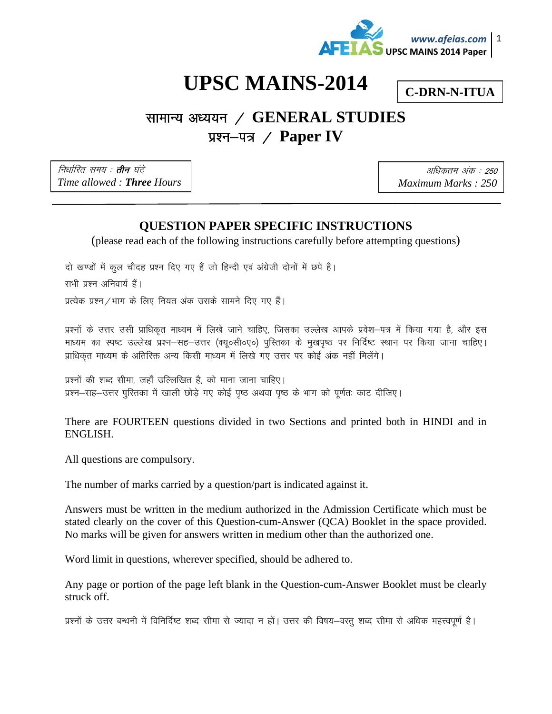

# **UPSC MAINS-2014**

**C-DRN-N-ITUA** 

## सामान्य अध्ययन / GENERAL STUDIES प्रश्न–पत्र / Paper IV

निर्धारित समय : **तीन** घंटे Time allowed: Three Hours

अधिकतम अंक : 250 Maximum Marks: 250

## **OUESTION PAPER SPECIFIC INSTRUCTIONS**

(please read each of the following instructions carefully before attempting questions)

दो खण्डों में कुल चौदह प्रश्न दिए गए हैं जो हिन्दी एवं अंग्रेजी दोनों में छपे है।

सभी प्रश्न अनिवार्य हैं।

प्रत्येक प्रश्न / भाग के लिए नियत अंक उसके सामने दिए गए हैं।

प्रश्नों के उत्तर उसी प्राधिकृत माध्यम में लिखे जाने चाहिए, जिसका उल्लेख आपके प्रवेश—पत्र में किया गया है, और इस माध्यम का स्पष्ट उल्लेख प्रश्न–सह–उत्तर (क्यू०सी०ए०) पुस्तिका के मुखपृष्ठ पर निर्दिष्ट स्थान पर किया जाना चाहिए। प्राधिकृत माध्यम के अतिरिक्त अन्य किसी माध्यम में लिखे गए उत्तर पर कोई अंक नहीं मिलेंगे।

प्रश्नों की शब्द सीमा, जहाँ उल्लिखित है, को माना जाना चाहिए। प्रश्न–सह–उत्तर पुस्तिका में खाली छोड़े गए कोई पुष्ठ अथवा पुष्ठ के भाग को पुर्णतः काट दीजिए।

|          |  | There are FOURTEEN questions divided in two Sections and printed both in HINDI and in |  |  |  |  |  |  |
|----------|--|---------------------------------------------------------------------------------------|--|--|--|--|--|--|
| ENGLISH. |  |                                                                                       |  |  |  |  |  |  |

All questions are compulsory.

The number of marks carried by a question/part is indicated against it.

Answers must be written in the medium authorized in the Admission Certificate which must be stated clearly on the cover of this Question-cum-Answer (QCA) Booklet in the space provided. No marks will be given for answers written in medium other than the authorized one.

Word limit in questions, wherever specified, should be adhered to.

Any page or portion of the page left blank in the Question-cum-Answer Booklet must be clearly struck off.

प्रश्नों के उत्तर बन्धनी में विनिर्दिष्ट शब्द सीमा से ज्यादा न हों। उत्तर की विषय–वस्तू शब्द सीमा से अधिक महत्त्वपूर्ण है।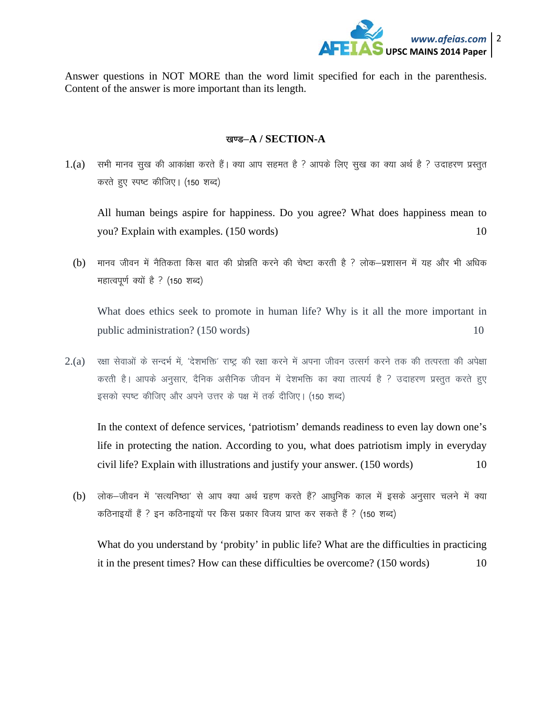

Answer questions in NOT MORE than the word limit specified for each in the parenthesis. Content of the answer is more important than its length.

### खण्ड-A / SECTION-A

 $1.(a)$  ) सभी मानव सुख की आकांक्षा करते हैं। क्या आप सहमत है ? आपके लिए सुख का क्या अर्थ है ? उदाहरण प्रस्तुत करते हुए स्पष्ट कीजिए। (150 शब्द)

All human beings aspire for happiness. Do you agree? What does happiness mean to you? Explain with examples. (150 words) 10

(b) मानव जीवन में नैतिकता किस बात की प्रोन्नति करने की चेष्टा करती है ? लोक–प्रशासन में यह और भी अधिक महात्वपूर्ण क्यों है ? (150 शब्द)

What does ethics seek to promote in human life? Why is it all the more important in public administration? (150 words) 10

 $2.(a)$  रक्षा सेवाओं के सन्दर्भ में, 'देशभक्ति' राष्ट्र की रक्षा करने में अपना जीवन उत्सर्ग करने तक की तत्परता की अपेक्षा करती है। आपके अनुसार, दैनिक असैनिक जीवन में देशभक्ति का क्या तात्पर्य है ? उदाहरण प्रस्तुत करते हुए इसको स्पष्ट कीजिए और अपने उत्तर के पक्ष में तर्क दीजिए। (150 शब्द)

In the context of defence services, 'patriotism' demands readiness to even lay down one's life in protecting the nation. According to you, what does patriotism imply in everyday civil life? Explain with illustrations and justify your answer. (150 words) 10

(b) लोक-जीवन में 'सत्यनिष्ठा' से आप क्या अर्थ ग्रहण करते हैं? आधुनिक काल में इसके अनुसार चलने में क्या कठिनाइयाँ हैं ? इन कठिनाइयों पर किस प्रकार विजय प्राप्त कर सकते हैं ? (150 शब्द)

What do you understand by 'probity' in public life? What are the difficulties in practicing it in the present times? How can these difficulties be overcome? (150 words) 10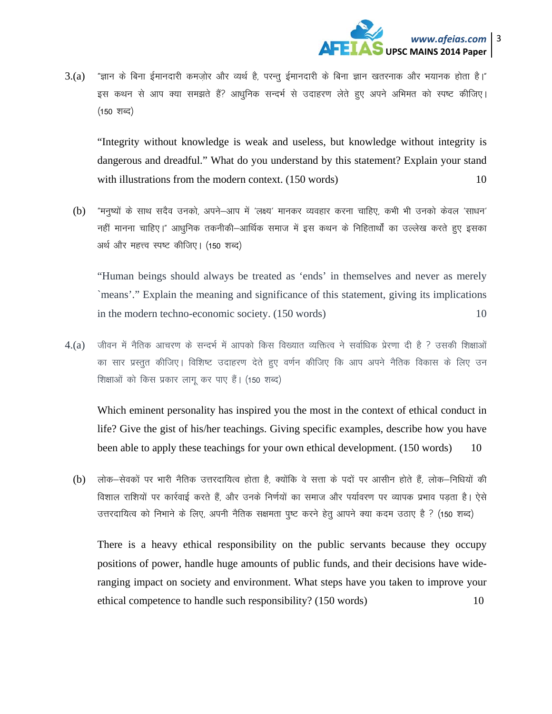

 $3.(\text{a})$  "ज्ञान के बिना ईमानदारी कमजोर और व्यर्थ है. परन्त ईमानदारी के बिना ज्ञान खतरनाक और भयानक होता है।" इस कथन से आप क्या समझते हैं? आधुनिक सन्दर्भ से उदाहरण लेते हुए अपने अभिमत को स्पष्ट कीजिए।  $(150 \text{ TIG})$ 

"Integrity without knowledge is weak and useless, but knowledge without integrity is dangerous and dreadful." What do you understand by this statement? Explain your stand with illustrations from the modern context. (150 words) 10

(b) "मनुष्यों के साथ सदैव उनको, अपने-आप में 'लक्ष्य' मानकर व्यवहार करना चाहिए, कभी भी उनको केवल 'साधन' नहीं मानना चाहिए।" आधुनिक तकनीकी–आर्थिक समाज में इस कथन के निहितार्थों का उल्लेख करते हुए इसका अर्थ और महत्त्व स्पष्ट कीजिए। (150 शब्द)

"Human beings should always be treated as 'ends' in themselves and never as merely `means'." Explain the meaning and significance of this statement, giving its implications in the modern techno-economic society. (150 words) 10

 $4.(\text{a})$  पजीवन में नैतिक आचरण के सन्दर्भ में आपको किस विख्यात व्यक्तित्व ने सर्वाधिक प्रेरणा दी है ? उसकी शिक्षाओं का सार प्रस्तुत कीजिए। विशिष्ट उदाहरण देते हुए वर्णन कीजिए कि आप अपने नैतिक विकास के लिए उन शिक्षाओं को किस प्रकार लागू कर पाए हैं। (150 शब्द)

Which eminent personality has inspired you the most in the context of ethical conduct in life? Give the gist of his/her teachings. Giving specific examples, describe how you have been able to apply these teachings for your own ethical development. (150 words) 10

(b) लोक-सेवकों पर भारी नैतिक उत्तरदायित्व होता है, क्योंकि वे सत्ता के पदों पर आसीन होते हैं, लोक-निधियों की विशाल राशियों पर कार्रवाई करते हैं. और उनके निर्णयों का समाज और पर्यावरण पर व्यापक प्रभाव पडता है। ऐसे उत्तरदायित्व को निभाने के लिए, अपनी नैतिक सक्षमता पुष्ट करने हेतु आपने क्या कदम उठाए है ? (150 शब्द)

There is a heavy ethical responsibility on the public servants because they occupy positions of power, handle huge amounts of public funds, and their decisions have wideranging impact on society and environment. What steps have you taken to improve your ethical competence to handle such responsibility? (150 words) 10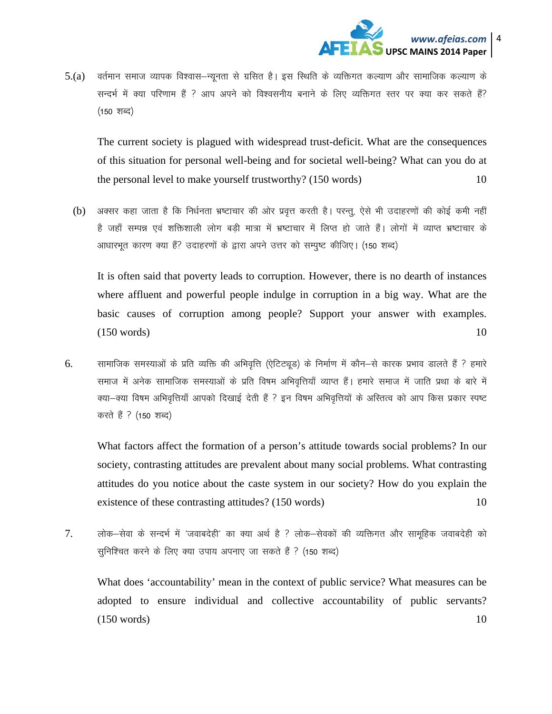

वर्तमान समाज व्यापक विश्वास–न्यूनता से ग्रसित है। इस स्थिति के व्यक्तिगत कल्याण और सामाजिक कल्याण के  $5(a)$ सन्दर्भ में क्या परिणाम हैं ? आप अपने को विश्वसनीय बनाने के लिए व्यक्तिगत स्तर पर क्या कर सकते हैं? (150 शब्द)

The current society is plagued with widespread trust-deficit. What are the consequences of this situation for personal well-being and for societal well-being? What can you do at the personal level to make yourself trustworthy? (150 words) 10

अक्सर कहा जाता है कि निर्धनता भ्रष्टाचार की ओर प्रवृत्त करती है। परन्तू, ऐसे भी उदाहरणों की कोई कमी नहीं  $(b)$ है जहाँ सम्पन्न एवं शक्तिशाली लोग बडी मात्रा में भ्रष्टाचार में लिप्त हो जाते हैं। लोगों में व्याप्त भ्रष्टाचार के आधारभूत कारण क्या हैं? उदाहरणों के द्वारा अपने उत्तर को सम्पुष्ट कीजिए। (150 शब्द)

It is often said that poverty leads to corruption. However, there is no dearth of instances where affluent and powerful people indulge in corruption in a big way. What are the basic causes of corruption among people? Support your answer with examples.  $(150 \text{ words})$ 10

सामाजिक समस्याओं के प्रति व्यक्ति की अभिवृत्ति (ऐटिट्यूड) के निर्माण में कौन—से कारक प्रभाव डालते हैं ? हमारे 6. समाज में अनेक सामाजिक समस्याओं के प्रति विषम अभिवृत्तियाँ व्याप्त हैं। हमारे समाज में जाति प्रथा के बारे में क्या-क्या विषम अभिवृत्तियाँ आपको दिखाई देती हैं ? इन विषम अभिवृत्तियों के अस्तित्व को आप किस प्रकार स्पष्ट करते हैं ? (150 शब्द)

What factors affect the formation of a person's attitude towards social problems? In our society, contrasting attitudes are prevalent about many social problems. What contrasting attitudes do you notice about the caste system in our society? How do you explain the existence of these contrasting attitudes? (150 words) 10

 $7<sup>1</sup>$ लोक-सेवा के सन्दर्भ में 'जवाबदेही' का क्या अर्थ है ? लोक-सेवकों की व्यक्तिगत और सामुहिक जवाबदेही को सुनिश्चित करने के लिए क्या उपाय अपनाए जा सकते हैं ? (150 शब्द)

What does 'accountability' mean in the context of public service? What measures can be adopted to ensure individual and collective accountability of public servants?  $(150 \text{ words})$ 10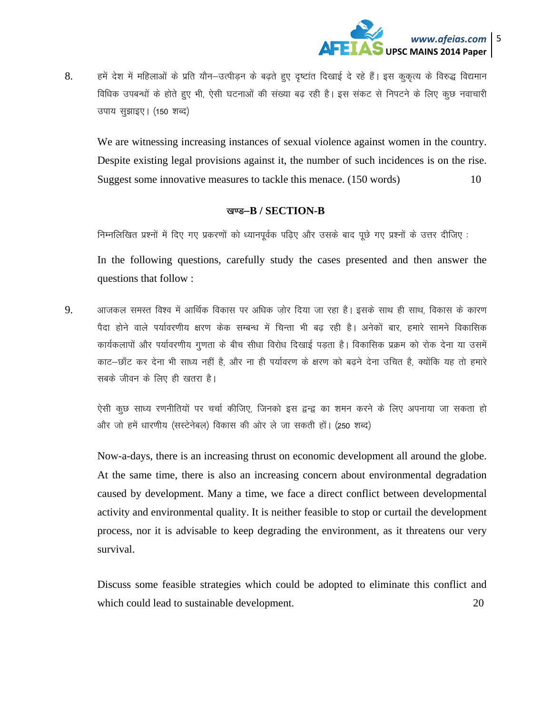

8. हमें देश में महिलाओं के प्रति यौन–उत्पीडन के बढते हुए दुष्टांत दिखाई दे रहे हैं। इस कूकृत्य के विरुद्ध विद्यमान विधिक उपबन्धों के होते हुए भी, ऐसी घटनाओं की संख्या बढ़ रही है। इस संकट से निपटने के लिए कुछ नवाचारी उपाय सुझाइए। (150 शब्द)

We are witnessing increasing instances of sexual violence against women in the country. Despite existing legal provisions against it, the number of such incidences is on the rise. Suggest some innovative measures to tackle this menace. (150 words)  $10<sup>1</sup>$ 

#### खण्ड-B / SECTION-B

निम्नलिखित प्रश्नों में दिए गए प्रकरणों को ध्यानपूर्वक पढिए और उसके बाद पूछे गए प्रश्नों के उत्तर दीजिए :

In the following questions, carefully study the cases presented and then answer the questions that follow:

आजकल समस्त विश्व में आर्थिक विकास पर अधिक ज़ोर दिया जा रहा है। इसके साथ ही साथ, विकास के कारण 9. पैदा होने वाले पर्यावरणीय क्षरण केक सम्बन्ध में चिन्ता भी बढ़ रही है। अनेकों बार, हमारे सामने विकासिक कार्यकलापों और पर्यावरणीय गुणता के बीच सीधा विरोध दिखाई पडता है। विकासिक प्रक्रम को रोक देना या उसमें काट-छाँट कर देना भी साध्य नहीं है, और ना ही पर्यावरण के क्षरण को बढने देना उचित है, क्योंकि यह तो हमारे सबके जीवन के लिए ही खतरा है।

ऐसी कूछ साध्य रणनीतियों पर चर्चा कीजिए, जिनको इस द्वन्द्व का शमन करने के लिए अपनाया जा सकता हो और जो हमें धारणीय (सस्टेनेबल) विकास की ओर ले जा सकती हों। (250 शब्द)

Now-a-days, there is an increasing thrust on economic development all around the globe. At the same time, there is also an increasing concern about environmental degradation caused by development. Many a time, we face a direct conflict between developmental activity and environmental quality. It is neither feasible to stop or curtail the development process, nor it is advisable to keep degrading the environment, as it threatens our very survival.

Discuss some feasible strategies which could be adopted to eliminate this conflict and which could lead to sustainable development. 20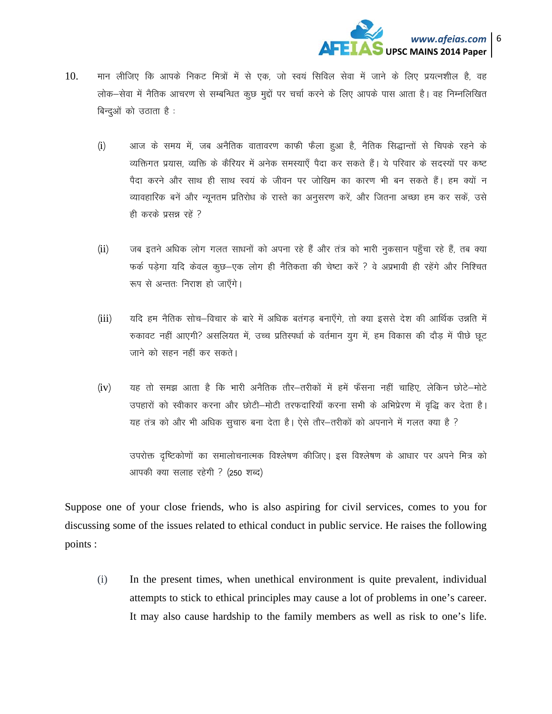

- मान लीजिए कि आपके निकट मित्रों में से एक, जो स्वयं सिविल सेवा में जाने के लिए प्रयत्नशील है, वह 10. लोक–सेवा में नैतिक आचरण से सम्बन्धित कुछ मुद्दों पर चर्चा करने के लिए आपके पास आता है। वह निम्नलिखित बिन्दओं को उठाता है .
	- $(i)$ आज के समय में, जब अनैतिक वातावरण काफी फैला हुआ है, नैतिक सिद्धान्तों से चिपके रहने के व्यक्तिगत प्रयास, व्यक्ति के कैरियर में अनेक समस्याएँ पैदा कर सकते हैं। ये परिवार के सदस्यों पर कष्ट पैदा करने और साथ ही साथ स्वयं के जीवन पर जोखिम का कारण भी बन सकते हैं। हम क्यों न व्यावहारिक बनें और न्यूनतम प्रतिरोध के रास्ते का अनुसरण करें, और जितना अच्छा हम कर सकें, उसे ही करके प्रसन्न रहे ?
	- जब इतने अधिक लोग गलत साधनों को अपना रहे हैं और तंत्र को भारी नुकसान पहुँचा रहे हैं, तब क्या  $(ii)$ फर्क पड़ेगा यदि केवल कुछ–एक लोग ही नैतिकता की चेष्टा करें ? वे अप्रभावी ही रहेंगे और निश्चित रूप से अन्ततः निराश हो जाएँगे।
	- $(iii)$ यदि हम नैतिक सोच-विचार के बारे में अधिक बतंगड बनाएँगे, तो क्या इससे देश की आर्थिक उन्नति में रुकावट नहीं आएगी? असलियत में, उच्च प्रतिस्पर्धा के वर्तमान युग में, हम विकास की दौड़ में पीछे छूट जाने को सहन नहीं कर सकते।
	- यह तो समझ आता है कि भारी अनैतिक तौर–तरीकों में हमें फँसना नहीं चाहिए, लेकिन छोटे–मोटे  $(iv)$ उपहारों को स्वीकार करना और छोटी-मोटी तरफदारियाँ करना सभी के अभिप्रेरण में वृद्धि कर देता है। यह तंत्र को और भी अधिक सूचारु बना देता है। ऐसे तौर-तरीकों को अपनाने में गलत क्या है ?

उपरोक्त दृष्टिकोणों का समालोचनात्मक विश्लेषण कीजिए। इस विश्लेषण के आधार पर अपने मित्र को आपकी क्या सलाह रहेगी ? (250 शब्द)

Suppose one of your close friends, who is also aspiring for civil services, comes to you for discussing some of the issues related to ethical conduct in public service. He raises the following points :

 $(i)$ In the present times, when unethical environment is quite prevalent, individual attempts to stick to ethical principles may cause a lot of problems in one's career. It may also cause hardship to the family members as well as risk to one's life.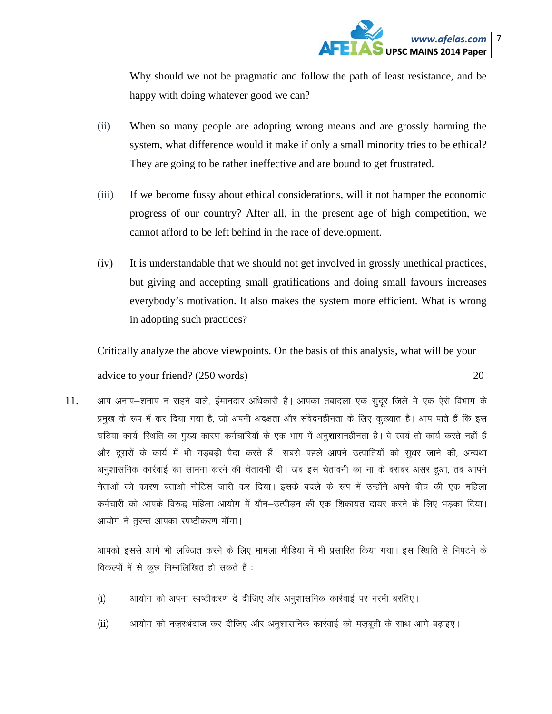

Why should we not be pragmatic and follow the path of least resistance, and be happy with doing whatever good we can?

- (ii) When so many people are adopting wrong means and are grossly harming the system, what difference would it make if only a small minority tries to be ethical? They are going to be rather ineffective and are bound to get frustrated.
- (iii) If we become fussy about ethical considerations, will it not hamper the economic progress of our country? After all, in the present age of high competition, we cannot afford to be left behind in the race of development.
- (iv) It is understandable that we should not get involved in grossly unethical practices, but giving and accepting small gratifications and doing small favours increases everybody's motivation. It also makes the system more efficient. What is wrong in adopting such practices?

Critically analyze the above viewpoints. On the basis of this analysis, what will be your

advice to your friend? (250 words) 20

11. अाप अनाप-शनाप न सहने वाले, ईमानदार अधिकारी हैं। आपका तबादला एक सुदूर जिले में एक ऐसे विभाग के प्रमुख के रूप में कर दिया गया है, जो अपनी अदक्षता और संवेदनहीनता के लिए कुख्यात है। आप पाते हैं कि इस घटिया कार्य-स्थिति का मुख्य कारण कर्मचारियों के एक भाग में अनुशासनहीनता है। वे स्वयं तो कार्य करते नहीं हैं और दुसरों के कार्य में भी गडबड़ी पैदा करते हैं। सबसे पहले आपने उत्पातियों को सुधर जाने की, अन्यथा अनुशासनिक कार्रवाई का सामना करने की चेतावनी दी। जब इस चेतावनी का ना के बराबर असर हुआ, तब आपने नेताओं को कारण बताओ नोटिस जारी कर दिया। इसके बदले के रूप में उन्होंने अपने बीच की एक महिला कर्मचारी को आपके विरुद्ध महिला आयोग में यौन–उत्पीडन की एक शिकायत दायर करने के लिए भडका दिया। आयोग ने तुरन्त आपका स्पष्टीकरण माँगा।

आपको इससे आगे भी लज्जित करने के लिए मामला मीडिया में भी प्रसारित किया गया। इस स्थिति से निपटने के विकल्पों में से कुछ निम्नलिखित हो सकते हैं :

- (i) अायोग को अपना स्पष्टीकरण दे दीजिए और अनुशासनिक कार्रवाई पर नरमी बरतिए।
- (ii) अायोग को नज़रअंदाज कर दीजिए और अनुशासनिक कार्रवाई को मज़बूती के साथ आगे बढ़ाइए।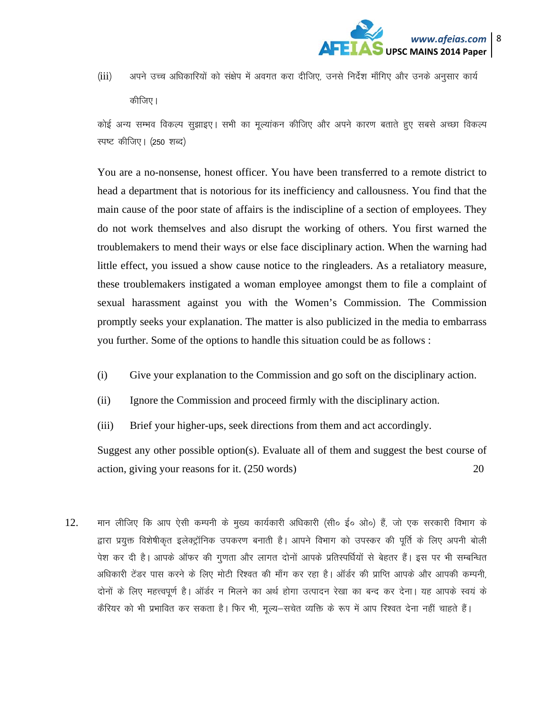

(iii) अपने उच्च अधिकारियों को संक्षेप में अवगत करा दीजिए, उनसे निर्देश माँगिए और उनके अनुसार कार्य कीजिए।

कोई अन्य सम्भव विकल्प सुझाइए। सभी का मुल्यांकन कीजिए और अपने कारण बताते हुए सबसे अच्छा विकल्प स्पष्ट कीजिए। (250 शब्द)

You are a no-nonsense, honest officer. You have been transferred to a remote district to head a department that is notorious for its inefficiency and callousness. You find that the main cause of the poor state of affairs is the indiscipline of a section of employees. They do not work themselves and also disrupt the working of others. You first warned the troublemakers to mend their ways or else face disciplinary action. When the warning had little effect, you issued a show cause notice to the ringleaders. As a retaliatory measure, these troublemakers instigated a woman employee amongst them to file a complaint of sexual harassment against you with the Women's Commission. The Commission promptly seeks your explanation. The matter is also publicized in the media to embarrass you further. Some of the options to handle this situation could be as follows :

- (i) Give your explanation to the Commission and go soft on the disciplinary action.
- (ii) Ignore the Commission and proceed firmly with the disciplinary action.
- (iii) Brief your higher-ups, seek directions from them and act accordingly.

Suggest any other possible option(s). Evaluate all of them and suggest the best course of action, giving your reasons for it.  $(250 \text{ words})$  20

12. मान लीजिए कि आप ऐसी कम्पनी के मुख्य कार्यकारी अधिकारी (सी० ई० ओ०) हैं, जो एक सरकारी विभाग के द्वारा प्रयुक्त विशेषीकृत इलेक्ट्रॉनिक उपकरण बनाती है। आपने विभाग को उपस्कर की पूर्ति के लिए अपनी बोली पेश कर दी है। आपके ऑफर की गुणता और लागत दोनों आपके प्रतिस्पर्धियों से बेहतर हैं। इस पर भी सम्बन्धित अधिकारी टेंडर पास करने के लिए मोटी रिश्वत की माँग कर रहा है। ऑर्डर की प्राप्ति आपके और आपकी कम्पनी, दोनों के लिए महत्त्वपूर्ण है। ऑर्डर न मिलने का अर्थ होगा उत्पादन रेखा का बन्द कर देना। यह आपके स्वयं के कैरियर को भी प्रभावित कर सकता है। फिर भी, मूल्य—सचेत व्यक्ति के रूप में आप रिश्वत देना नहीं चाहते हैं।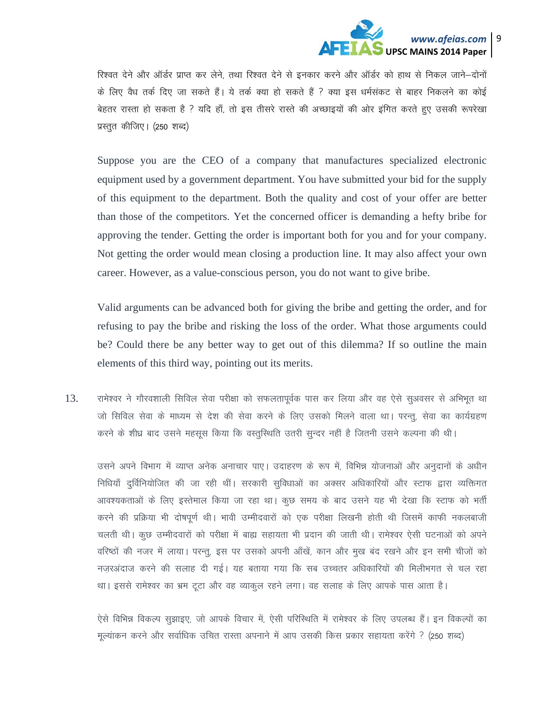

रिश्वत देने और ऑर्डर प्राप्त कर लेने, तथा रिश्वत देने से इनकार करने और ऑर्डर को हाथ से निकल जाने–दोनों के लिए वैध तर्क दिए जा सकते हैं। ये तर्क क्या हो सकते हैं ? क्या इस धर्मसंकट से बाहर निकलने का कोई बेहतर रास्ता हो सकता है ? यदि हाँ, तो इस तीसरे रास्ते की अच्छाइयों की ओर इंगित करते हुए उसकी रूपरेखा प्रस्तुत कीजिए। (250 शब्द)

Suppose you are the CEO of a company that manufactures specialized electronic equipment used by a government department. You have submitted your bid for the supply of this equipment to the department. Both the quality and cost of your offer are better than those of the competitors. Yet the concerned officer is demanding a hefty bribe for approving the tender. Getting the order is important both for you and for your company. Not getting the order would mean closing a production line. It may also affect your own career. However, as a value-conscious person, you do not want to give bribe.

Valid arguments can be advanced both for giving the bribe and getting the order, and for refusing to pay the bribe and risking the loss of the order. What those arguments could be? Could there be any better way to get out of this dilemma? If so outline the main elements of this third way, pointing out its merits.

 $13.$  vrमेश्वर ने गौरवशाली सिविल सेवा परीक्षा को सफलतापूर्वक पास कर लिया और वह ऐसे सुअवसर से अभिभूत था जो सिविल सेवा के माध्यम से देश की सेवा करने के लिए उसको मिलने वाला था। परन्तू, सेवा का कार्यग्रहण करने के शीध्र बाद उसने महसूस किया कि वस्तुस्थिति उतरी सुन्दर नहीं है जितनी उसने कल्पना की थी।

उसने अपने विभाग में व्याप्त अनेक अनाचार पाए। उदाहरण के रूप में, विभिन्न योजनाओं और अनुदानों के अधीन निधियाँ दुर्विनियोजित की जा रही थीं। सरकारी सुविधाओं का अक्सर अधिकारियों और स्टाफ द्वारा व्यक्तिगत आवश्यकताओं के लिए इस्तेमाल किया जा रहा था। कुछ समय के बाद उसने यह भी देखा कि स्टाफ को भर्ती करने की प्रक्रिया भी दोषपूर्ण थी। भावी उम्मीदवारों को एक परीक्षा लिखनी होती थी जिसमें काफी नकलबाजी चलती थी। कूछ उम्मीदवारों को परीक्षा में बाह्य सहायता भी प्रदान की जाती थी। रामेश्वर ऐसी घटनाओं को अपने वरिष्ठों की नजर में लाया। परन्तू, इस पर उसको अपनी आँखें, कान और मुख बंद रखने और इन सभी चीजों को नजरअंदाज करने की सलाह दी गई। यह बताया गया कि सब उच्चतर अधिकारियों की मिलीभगत से चल रहा था। इससे रामेश्वर का भ्रम टूटा और वह व्याकूल रहने लगा। वह सलाह के लिए आपके पास आता है।

ऐसे विभिन्न विकल्प सुझाइए, जो आपके विचार में, ऐसी परिस्थिति में रामेश्वर के लिए उपलब्ध हैं। इन विकल्पों का मुल्यांकन करने और सर्वाधिक उचित रास्ता अपनाने में आप उसकी किस प्रकार सहायता करेंगे ? (250 शब्द)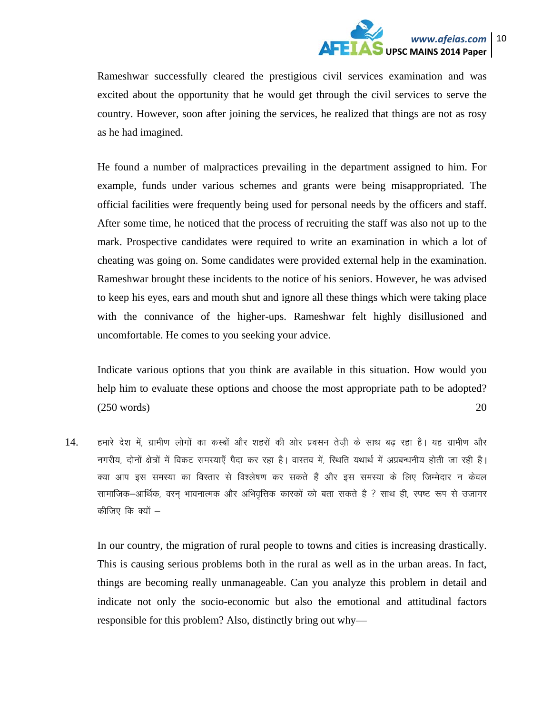

Rameshwar successfully cleared the prestigious civil services examination and was excited about the opportunity that he would get through the civil services to serve the country. However, soon after joining the services, he realized that things are not as rosy as he had imagined.

He found a number of malpractices prevailing in the department assigned to him. For example, funds under various schemes and grants were being misappropriated. The official facilities were frequently being used for personal needs by the officers and staff. After some time, he noticed that the process of recruiting the staff was also not up to the mark. Prospective candidates were required to write an examination in which a lot of cheating was going on. Some candidates were provided external help in the examination. Rameshwar brought these incidents to the notice of his seniors. However, he was advised to keep his eyes, ears and mouth shut and ignore all these things which were taking place with the connivance of the higher-ups. Rameshwar felt highly disillusioned and uncomfortable. He comes to you seeking your advice.

Indicate various options that you think are available in this situation. How would you help him to evaluate these options and choose the most appropriate path to be adopted? (250 words) 20

14. हमारे देश में, ग्रामीण लोगों का कस्बों और शहरों की ओर प्रवसन तेजी के साथ बढ रहा है। यह ग्रामीण और नगरीय, दोनों क्षेत्रों में विकट समस्याएँ पैदा कर रहा है। वास्तव में, स्थिति यथार्थ में अप्रबन्धनीय होती जा रही है। क्या आप इस समस्या का विस्तार से विश्लेषण कर सकते हैं और इस समस्या के लिए जिम्मेदार न केवल सामाजिक–आर्थिक, वरन् भावनात्मक और अभिवृत्तिक कारकों को बता सकते है ? साथ ही, स्पष्ट रूप से उजागर कीजिए कि क्यों  $-$ 

In our country, the migration of rural people to towns and cities is increasing drastically. This is causing serious problems both in the rural as well as in the urban areas. In fact, things are becoming really unmanageable. Can you analyze this problem in detail and indicate not only the socio-economic but also the emotional and attitudinal factors responsible for this problem? Also, distinctly bring out why—